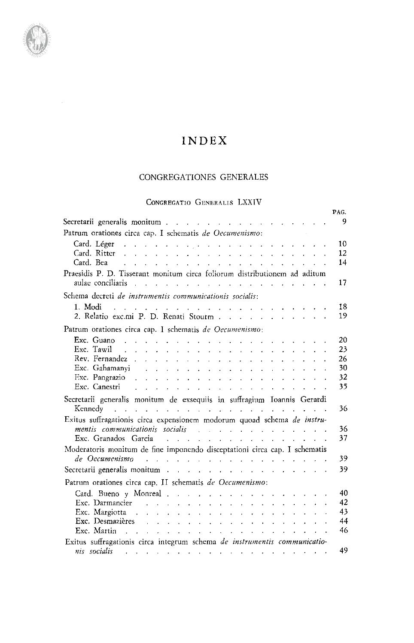## CONGREGATIONES GENERALES

## CONGREGATIO GENERALIS LXXIV

|                                                                                                                                                                                                                                | PAG.     |
|--------------------------------------------------------------------------------------------------------------------------------------------------------------------------------------------------------------------------------|----------|
| Secretarii generalis monitum                                                                                                                                                                                                   | 9        |
| Patrum orationes circa cap. I schematis de Oecumenismo:                                                                                                                                                                        |          |
| Card. Léger<br>والقاربة والقاربة والقاربة والمتابع والمتابع والمراقب والمتابع والمتابع والمتابع والمتابع والمتابع والمتابع                                                                                                     | 10       |
| Card. Ritter<br>and a series of the contract of the contract of the contract of the contract of                                                                                                                                | 12       |
| Card. Bea<br>المتواطن والمستحدث والمتناول والمتناول والمتناول والمتناول والمتناول                                                                                                                                              | 14       |
| Praesidis P. D. Tisserant monitum circa foliorum distributionem ad aditum                                                                                                                                                      |          |
| aulae conciliaris<br>and the contract of the contract of the contract of the contract of                                                                                                                                       | 17       |
| Schema decreti de instrumentis communicationis socialis:                                                                                                                                                                       |          |
| 1. Modi<br>ر المناسب المناسب المناسب المناسب المناسب المناسب المناسب المناسب المناسب المناسب المناسب المناسب المناسب المن                                                                                                      | 18       |
| 2. Relatio exc.mi P. D. Renati Stourm                                                                                                                                                                                          | 19       |
| Patrum orationes circa cap. I schematis de Oecumenismo:                                                                                                                                                                        |          |
| Exc. Guano                                                                                                                                                                                                                     |          |
| and the contract of the contract of the contract of the contract of<br>Exc. Tawil $\qquad \qquad$                                                                                                                              | 20<br>23 |
|                                                                                                                                                                                                                                | 26       |
| Exc. Gahamanyi                                                                                                                                                                                                                 | 30       |
| Exc. Pangrazio $\cdots$ $\cdots$ $\cdots$ $\cdots$ $\cdots$ $\cdots$                                                                                                                                                           | 32       |
| Exc. Canestri<br>.<br>In the company of the company of the company of the company of the company of the company of the company of th                                                                                           | 35       |
| Secretarii generalis monitum de exsequiis in suffragium Ioannis Gerardi                                                                                                                                                        |          |
| Kennedy<br>and the company of the company of the company of the company of the company of the company of the company of the                                                                                                    | 36       |
| Exitus suffragationis circa expensionem modorum quoad schema de instru-                                                                                                                                                        |          |
| mentis communicationis socialis entrances and announcement of the manufacture of the manufacture of the manufa                                                                                                                 | 36       |
| Exc. Granados García (Contra Contra Contra Contra Contra Contra Contra Contra Contra Contra Contra Contra Contra Contra Contra Contra Contra Contra Contra Contra Contra Contra Contra Contra Contra Contra Contra Contra Cont | 37       |
| Moderatoris monitum de fine imponendo disceptationi circa cap. I schematis                                                                                                                                                     |          |
| de Oecumenismo<br>فأرتقا والفارق والمناور والفارق المراقب والمراقب والفراق والمراقبات                                                                                                                                          | 39       |
| Secretarii generalis monitum                                                                                                                                                                                                   | 39       |
|                                                                                                                                                                                                                                |          |
| Patrum orationes circa cap. II schematis de Oecumenismo:                                                                                                                                                                       |          |
| Card. Bueno y Monreal                                                                                                                                                                                                          | 40<br>42 |
| Exc. Darmancier<br>Exc. Margiotta $\cdots$ $\cdots$ $\cdots$ $\cdots$ $\cdots$ $\cdots$ $\cdots$ $\cdots$                                                                                                                      | 43       |
| Exc. Desmazières relations de la contratture de la contratture de la contratture de la contratture de la contra                                                                                                                | 44       |
|                                                                                                                                                                                                                                | 46       |
| Exitus suffragationis circa integrum schema de instrumentis communicatio-                                                                                                                                                      |          |
| nis socialis<br>المتوارث والمناوي والمناوي والمتوارث والتوارث والمناوي والمناوي والمناوي والمناوي                                                                                                                              | 49       |

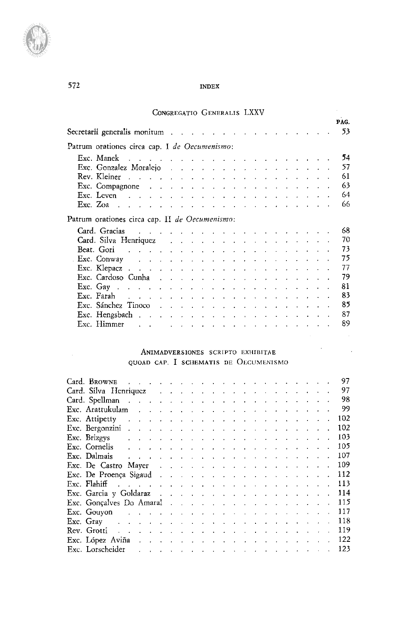| CONGREGATIO GENERALIS LXXV                                                                                                                                                                                                             |      |
|----------------------------------------------------------------------------------------------------------------------------------------------------------------------------------------------------------------------------------------|------|
|                                                                                                                                                                                                                                        | PAG. |
| Secretarii generalis monitum                                                                                                                                                                                                           | 53   |
| Patrum orationes circa cap. I de Oecumenismo:                                                                                                                                                                                          |      |
| Exc. Manek<br>فالمحامل والقارف والمتعارف والقارب والقارب والقارب والمتاري والقارب والمتاريخ                                                                                                                                            | 54   |
| Exc. Gonzalez Moralejo                                                                                                                                                                                                                 | 57   |
|                                                                                                                                                                                                                                        | 61   |
|                                                                                                                                                                                                                                        | 63   |
|                                                                                                                                                                                                                                        | 64   |
|                                                                                                                                                                                                                                        | 66   |
| Patrum orationes circa cap. II de Oecumenismo:                                                                                                                                                                                         |      |
| Card. Gracias<br>والمتعادل والمعامل والمتعاون والمتعاون والمتعاون والمتعاون والمتعاون والمتعاونة                                                                                                                                       | 68.  |
| Card. Silva Henriquez                                                                                                                                                                                                                  | 70   |
|                                                                                                                                                                                                                                        | 73   |
| <b>Exc.</b> Conway and the contract of the contract $\mathbb{R}$ is the contract of the contract of the contract of the contract of the contract of the contract of the contract of the contract of the contract of the contract of th | 75   |
|                                                                                                                                                                                                                                        | 77   |
| Exc. Cardoso Cunha response a response a response $\mathbb{R}^n$                                                                                                                                                                       | 79   |
|                                                                                                                                                                                                                                        | 81   |
|                                                                                                                                                                                                                                        | 83   |
| Exc. Sánchez Tinoco                                                                                                                                                                                                                    | 85   |
|                                                                                                                                                                                                                                        | 87   |
| Exc. Himmer<br>والمحامل والمتعاون والمتعاون والمتعاون والمتعاونة والمتعاون والمتعاونات                                                                                                                                                 | 89   |

#### ANIMADVERSIONES SCRIPTO EXHIBITAE QUOAD CAP. **I** SCHEMATIS DE OECUMENISMO

|                                                                                                                                                                                                                                |                                                                                 |  |  |  |  |  |  |  |  |  | 97  |
|--------------------------------------------------------------------------------------------------------------------------------------------------------------------------------------------------------------------------------|---------------------------------------------------------------------------------|--|--|--|--|--|--|--|--|--|-----|
| Card. Silva Henriquez                                                                                                                                                                                                          |                                                                                 |  |  |  |  |  |  |  |  |  | 97  |
|                                                                                                                                                                                                                                |                                                                                 |  |  |  |  |  |  |  |  |  | 98  |
|                                                                                                                                                                                                                                |                                                                                 |  |  |  |  |  |  |  |  |  | 99  |
| Exc. Attipetty                                                                                                                                                                                                                 | and a series of the contract of the contract of the contract of the contract of |  |  |  |  |  |  |  |  |  | 102 |
| Exc. Bergonzini $\cdots$ $\cdots$ $\cdots$ $\cdots$ $\cdots$ $\cdots$ $\cdots$ $\cdots$ $\cdots$                                                                                                                               |                                                                                 |  |  |  |  |  |  |  |  |  | 102 |
| Exc. Brizgys                                                                                                                                                                                                                   | والمعارض والمتعارض والمتعارض والمتعارض والمتعارض والمتعارض والمتعارض والمتعارض  |  |  |  |  |  |  |  |  |  | 103 |
| Exc. Cornelis and a series are a series of $\mathbb{R}^n$ . Cornelis and a series of $\mathbb{R}^n$ is a series of $\mathbb{R}^n$                                                                                              |                                                                                 |  |  |  |  |  |  |  |  |  | 105 |
| Exc. Dalmais and a contract of the contract of the contract of the contract of the contract of the contract of                                                                                                                 |                                                                                 |  |  |  |  |  |  |  |  |  | 107 |
| Exc. De Castro Mayer                                                                                                                                                                                                           |                                                                                 |  |  |  |  |  |  |  |  |  | 109 |
| Exc. De Proença Sigaud de la contrata de la contrata de la contrata de la contrata de la contrata de la contra                                                                                                                 |                                                                                 |  |  |  |  |  |  |  |  |  | 112 |
|                                                                                                                                                                                                                                |                                                                                 |  |  |  |  |  |  |  |  |  | 113 |
| Exc. Garcia y Goldaraz                                                                                                                                                                                                         |                                                                                 |  |  |  |  |  |  |  |  |  | 114 |
|                                                                                                                                                                                                                                |                                                                                 |  |  |  |  |  |  |  |  |  | 115 |
| Exc. Gouyon research and the contract of the contract of the contract of the contract of the contract of the contract of the contract of the contract of the contract of the contract of the contract of the contract of the c |                                                                                 |  |  |  |  |  |  |  |  |  | 117 |
| Exc. Gray and the set of the set of the set of the set of the set of the set of the set of the set of the set of the set of the set of the set of the set of the set of the set of the set of the set of the set of the set o  |                                                                                 |  |  |  |  |  |  |  |  |  | 118 |
| Rev. Grotti and a contract of the contract of the contract of the contract of the contract of the contract of                                                                                                                  |                                                                                 |  |  |  |  |  |  |  |  |  | 119 |
| Exc. López Aviña $\cdots$ $\cdots$ $\cdots$ $\cdots$ $\cdots$ $\cdots$ $\cdots$ $\cdots$                                                                                                                                       |                                                                                 |  |  |  |  |  |  |  |  |  | 122 |
| Exc. Lorscheider and a contract that the contract of the contract of the contract of the contract of the contract of the contract of the contract of the contract of the contract of the contract of the contract of the contr |                                                                                 |  |  |  |  |  |  |  |  |  | 123 |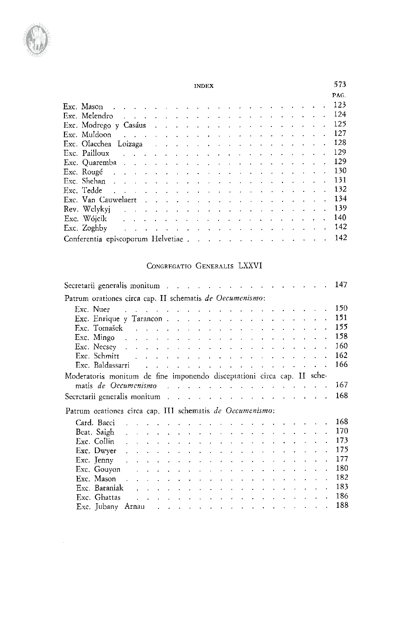

|                                                                                                                                                                                                                               |                                                                                                 |  |  |                                                                                                  |  |  |  |  |  |  |  | PAG. |
|-------------------------------------------------------------------------------------------------------------------------------------------------------------------------------------------------------------------------------|-------------------------------------------------------------------------------------------------|--|--|--------------------------------------------------------------------------------------------------|--|--|--|--|--|--|--|------|
|                                                                                                                                                                                                                               |                                                                                                 |  |  |                                                                                                  |  |  |  |  |  |  |  | 123  |
| Exc. Melendro and a constant of the construction of the Exc. Melendro and a construction of the construction of                                                                                                               |                                                                                                 |  |  |                                                                                                  |  |  |  |  |  |  |  | 124  |
| Exc. Modrego y Casáus                                                                                                                                                                                                         |                                                                                                 |  |  |                                                                                                  |  |  |  |  |  |  |  | 125  |
| Exc. Muldoon-                                                                                                                                                                                                                 | أناقل فالمستعاد فالمستعاد فالمعارف القاربة القارية القاربة والمتاريخ والمناور والقاربة القاربين |  |  |                                                                                                  |  |  |  |  |  |  |  | 127  |
| Exc. Olaechea Loizaga eta arraitzarra arraitza eta arraitza eta arraitza eta arraitza eta arraitza eta arraitz                                                                                                                |                                                                                                 |  |  |                                                                                                  |  |  |  |  |  |  |  | 128  |
|                                                                                                                                                                                                                               |                                                                                                 |  |  |                                                                                                  |  |  |  |  |  |  |  | 129  |
|                                                                                                                                                                                                                               |                                                                                                 |  |  |                                                                                                  |  |  |  |  |  |  |  | 129  |
|                                                                                                                                                                                                                               |                                                                                                 |  |  |                                                                                                  |  |  |  |  |  |  |  | 130  |
|                                                                                                                                                                                                                               |                                                                                                 |  |  |                                                                                                  |  |  |  |  |  |  |  | 131  |
| Exc. Tedde recover the contract of the contract of the contract of the contract of the contract of the contract of the contract of the contract of the contract of the contract of the contract of the contract of the contra |                                                                                                 |  |  |                                                                                                  |  |  |  |  |  |  |  | 132  |
| Exc. Van Cauwelaert                                                                                                                                                                                                           |                                                                                                 |  |  |                                                                                                  |  |  |  |  |  |  |  | 134  |
| Rev. Welykyj do name i name i name i name i startin v startin v startin v startin v startin v startin v starti                                                                                                                |                                                                                                 |  |  |                                                                                                  |  |  |  |  |  |  |  | 139  |
|                                                                                                                                                                                                                               |                                                                                                 |  |  |                                                                                                  |  |  |  |  |  |  |  | 140  |
| Exc. Zoghby                                                                                                                                                                                                                   |                                                                                                 |  |  | أتحار والمحارب والمحارب والمستحدث والمحارب والمحارب والمحارب والمحارب والمحارب والمحارب والمحارب |  |  |  |  |  |  |  | 142  |
| Conferentia episcoporum Helvetiae , , , , , , , , , , , , , , , , ,                                                                                                                                                           |                                                                                                 |  |  |                                                                                                  |  |  |  |  |  |  |  | 142  |

### CONGREGATIO GENERALIS LXXVI

| Secretarii generalis monitum and a constant and a constant of the secretarii generalis monitum and a constant o                                                                                                                |                                                                               |  |  |  |  |  |  |  |  | 147  |
|--------------------------------------------------------------------------------------------------------------------------------------------------------------------------------------------------------------------------------|-------------------------------------------------------------------------------|--|--|--|--|--|--|--|--|------|
| Patrum orationes circa cap. II schematis de Oecumenismo:                                                                                                                                                                       |                                                                               |  |  |  |  |  |  |  |  |      |
| Exc. Nuer and the state of the state of the state of the state of the state of the state of the state of the state of the state of the state of the state of the state of the state of the state of the state of the state of  |                                                                               |  |  |  |  |  |  |  |  | 150  |
| Exc. Enrique y Tarancon                                                                                                                                                                                                        |                                                                               |  |  |  |  |  |  |  |  | 151  |
| Exc. Tomašek and a subsequently and a subsequently served by the served of the served of the served of the served of the served of the served of the served of the served of the served of the served of the served of the ser |                                                                               |  |  |  |  |  |  |  |  | 155  |
|                                                                                                                                                                                                                                |                                                                               |  |  |  |  |  |  |  |  | 158  |
| Exc. Necsey and a subsequently and a subsequently contact the contact of the subsequently set of the subsequently set of the subsequently set of the subsequently set of the subsequently set of the subsequently set of the s |                                                                               |  |  |  |  |  |  |  |  | 160  |
| Exc. Schmitt $\qquad \qquad \ldots \qquad \qquad \ldots \qquad \ldots \qquad \ldots \qquad \ldots \qquad \ldots \qquad \ldots \qquad \ldots$                                                                                   |                                                                               |  |  |  |  |  |  |  |  | 162  |
|                                                                                                                                                                                                                                |                                                                               |  |  |  |  |  |  |  |  | 166  |
| Moderatoris monitum de fine imponendo disceptationi circa cap. II sche-                                                                                                                                                        |                                                                               |  |  |  |  |  |  |  |  |      |
| matis de Oecumenismo en contra un construction de la construction de la construction de la construction de la                                                                                                                  |                                                                               |  |  |  |  |  |  |  |  | 167. |
| Secretarii generalis monitum and a contract to contract the contract of the secretarii generalis monitum and a                                                                                                                 |                                                                               |  |  |  |  |  |  |  |  | 168  |
| Patrum orationes circa cap. III schematis de Oecumenismo:                                                                                                                                                                      |                                                                               |  |  |  |  |  |  |  |  |      |
| Card. Bacci                                                                                                                                                                                                                    | المتناقص والمتناقص والمتناقص والمتناقص والمتناقص والمتناقص والمتناقص والمناقص |  |  |  |  |  |  |  |  | 168  |
|                                                                                                                                                                                                                                |                                                                               |  |  |  |  |  |  |  |  | 170  |
| Exc. Collin $\Box$ . The set of the set of the set of the set of the set of the set of the set of the set of the set of the set of the set of the set of the set of the set of the set of the set of the set of the set of the |                                                                               |  |  |  |  |  |  |  |  | 173  |
|                                                                                                                                                                                                                                |                                                                               |  |  |  |  |  |  |  |  | 175  |
| Exc. Jenny and a series are a series of the series of the series of the series of the series of the series of the series of the series of the series of the series of the series of the series of the series of the series of  |                                                                               |  |  |  |  |  |  |  |  | 177  |
| Exc. Gouyon and a series and a series of the series of the series of the series of the series of the                                                                                                                           |                                                                               |  |  |  |  |  |  |  |  | 180  |
| Exc. Mason because the contract of the contract of the Mason contract of the contract of the contract of the contract of the contract of the contract of the contract of the contract of the contract of the contract of the c |                                                                               |  |  |  |  |  |  |  |  | 182  |
| Exc. Baraniak                                                                                                                                                                                                                  |                                                                               |  |  |  |  |  |  |  |  | 183  |
| Exc. Ghattas and a series of the series of the series of the series of the series of the series of the series of the series of the series of the series of the series of the series of the series of the series of the series  |                                                                               |  |  |  |  |  |  |  |  | 186  |
| Exc. Jubany Arnau                                                                                                                                                                                                              |                                                                               |  |  |  |  |  |  |  |  | 188  |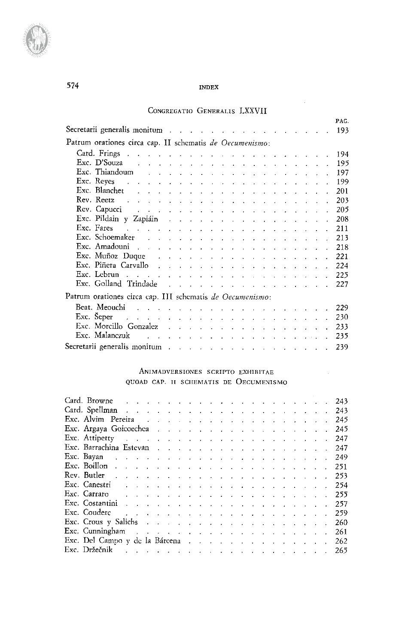#### CONGREGATIO GENERALIS LXXVII

| Secretarii generalis monitum and a constant of the constant of the constant of the constant of the constant of                                                                                                                                                                         |  |  |  |  |  |  |  |  | PAG.<br>193 |
|----------------------------------------------------------------------------------------------------------------------------------------------------------------------------------------------------------------------------------------------------------------------------------------|--|--|--|--|--|--|--|--|-------------|
| Patrum orationes circa cap. II schematis de Oecumenismo:                                                                                                                                                                                                                               |  |  |  |  |  |  |  |  |             |
| Card. Frings $\ldots$ $\ldots$ $\ldots$ $\ldots$ $\ldots$ $\ldots$ $\ldots$ $\ldots$ $\ldots$                                                                                                                                                                                          |  |  |  |  |  |  |  |  | 194         |
|                                                                                                                                                                                                                                                                                        |  |  |  |  |  |  |  |  | 195         |
| Exc. Thiandoum $\qquad \qquad \ldots \qquad \qquad \ldots \qquad \ldots \qquad \ldots \qquad \ldots \qquad \ldots \qquad \ldots$                                                                                                                                                       |  |  |  |  |  |  |  |  | 197         |
| <b>Exc.</b> Reyes $x_1, x_2, x_3, x_4, x_5, x_6, x_7, x_8, x_9, x_1, x_2, x_3, x_4, x_7, x_8, x_9, x_1, x_2, x_3, x_4, x_6, x_7, x_8, x_9, x_1, x_2, x_3, x_4, x_6, x_7, x_8, x_9, x_1, x_2, x_3, x_4, x_6, x_7, x_8, x_9, x_1, x_2, x_3, x_4, x_6, x_7, x_8, x_9, x_1, x_2, x_3, x_4$ |  |  |  |  |  |  |  |  | 199         |
|                                                                                                                                                                                                                                                                                        |  |  |  |  |  |  |  |  | 201         |
| Rev. Reetz<br>المتناول والمتناول والمتناول والمتناول والمتناول والمتناول والمتناول والمتناول والمناول                                                                                                                                                                                  |  |  |  |  |  |  |  |  | 203         |
| Rev. Capucci and a subset of the subset of the contract of the contract of the contract of the contract of the                                                                                                                                                                         |  |  |  |  |  |  |  |  | 205         |
| Exc. Pildain y Zapiáin a chamar a chamar a chamar a chamar a chamar a chamar a chamar a chamar a chamar a chamar                                                                                                                                                                       |  |  |  |  |  |  |  |  | 208         |
|                                                                                                                                                                                                                                                                                        |  |  |  |  |  |  |  |  | 211         |
| Exc. Schoemaker research and containing the set of the set of the set of the set of the set of the set of the                                                                                                                                                                          |  |  |  |  |  |  |  |  | 213         |
| Exc. Amadouni $\ldots$ $\ldots$ $\ldots$ $\ldots$ $\ldots$ $\ldots$ $\ldots$ $\ldots$ $\ldots$                                                                                                                                                                                         |  |  |  |  |  |  |  |  | 218         |
| Exc. Muñoz Duque $\cdots$ $\cdots$ $\cdots$ $\cdots$ $\cdots$ $\cdots$ $\cdots$ $\cdots$                                                                                                                                                                                               |  |  |  |  |  |  |  |  | 221         |
| Exc. Piñera Carvallo                                                                                                                                                                                                                                                                   |  |  |  |  |  |  |  |  | 224         |
| Exc. Lebrun $\ldots$ $\ldots$ $\ldots$ $\ldots$ $\ldots$ $\ldots$ $\ldots$ $\ldots$ $\ldots$ $\ldots$                                                                                                                                                                                  |  |  |  |  |  |  |  |  | 225         |
| Exc. Golland Trindade                                                                                                                                                                                                                                                                  |  |  |  |  |  |  |  |  | 227         |
| Patrum orationes circa cap. III schematis de Oecumenismo:                                                                                                                                                                                                                              |  |  |  |  |  |  |  |  |             |
| Beat. Meouchi de de la contrattura de la contrattura de la contrattura de la contrattura de la contrattura de                                                                                                                                                                          |  |  |  |  |  |  |  |  | 229         |
|                                                                                                                                                                                                                                                                                        |  |  |  |  |  |  |  |  | 230         |
|                                                                                                                                                                                                                                                                                        |  |  |  |  |  |  |  |  |             |
| Exc. Morcillo Gonzalez                                                                                                                                                                                                                                                                 |  |  |  |  |  |  |  |  | 233         |
|                                                                                                                                                                                                                                                                                        |  |  |  |  |  |  |  |  | 235         |
| Secretarii generalis monitum de contra de contra de contra de contra de contra de contra de contra de contra d                                                                                                                                                                         |  |  |  |  |  |  |  |  | 239         |

### ANIMADVERSIONES SCRIPTO EXHIBITAE QUOAD CAP. II SCHEMATIS DE OECUMENISMO

| Card. Spellman research and contact the contact of the contact of the contact of the contact of the contact of                                                                                                                   |  |  |  |  |  |  |  |  |  |  | 243 |
|----------------------------------------------------------------------------------------------------------------------------------------------------------------------------------------------------------------------------------|--|--|--|--|--|--|--|--|--|--|-----|
| Exc. Alvim Pereira and a contract of the contract of the Pereira and the contract of the contract of the contract of the contract of the contract of the contract of the contract of the contract of the contract of the contr   |  |  |  |  |  |  |  |  |  |  | 245 |
| Exc. Argaya Goicoechea and a contract the contract of the contract of the contract of the contract of the contract of the contract of the contract of the contract of the contract of the contract of the contract of the cont   |  |  |  |  |  |  |  |  |  |  | 245 |
| Exc. Attipetty and a constant of the construction of the construction of the construction of the construction of the construction of the construction of the construction of the construction of the construction of the const   |  |  |  |  |  |  |  |  |  |  | 247 |
| Exc. Barrachina Estevan and a contract the contract of the state of the state of the state of the state of the                                                                                                                   |  |  |  |  |  |  |  |  |  |  | 247 |
| Exc. Bayan decree and the contract of the contract of the contract of the contract of the contract of the contract of the contract of the contract of the contract of the contract of the contract of the contract of the con    |  |  |  |  |  |  |  |  |  |  | 249 |
| Exc. Boillon $\ldots$ $\ldots$ $\ldots$ $\ldots$ $\ldots$ $\ldots$ $\ldots$ $\ldots$ $\ldots$ $\ldots$ $\ldots$                                                                                                                  |  |  |  |  |  |  |  |  |  |  | 251 |
|                                                                                                                                                                                                                                  |  |  |  |  |  |  |  |  |  |  | 253 |
| Exc. Canestri $\cdots$ . The contract of the contract of the contract of the contract of the contract of the contract of the contract of the contract of the contract of the contract of the contract of the contract of the con |  |  |  |  |  |  |  |  |  |  | 254 |
| Exc. Carraro $\cdots$ . The set of the set of the set of the set of the set of the set of the set of the set of the set of the set of the set of the set of the set of the set of the set of the set of the set of the set of th |  |  |  |  |  |  |  |  |  |  | 255 |
|                                                                                                                                                                                                                                  |  |  |  |  |  |  |  |  |  |  |     |
|                                                                                                                                                                                                                                  |  |  |  |  |  |  |  |  |  |  | 259 |
| Exc. Crous y Salichs and a contract of the contract of the state of the state of the state of the state of the                                                                                                                   |  |  |  |  |  |  |  |  |  |  | 260 |
| Exc. Cunningham and a series of the contract of the contract of the contract of the contract of the contract of                                                                                                                  |  |  |  |  |  |  |  |  |  |  | 261 |
| Exc. Del Campo y de la Bárcena en entre en entre en entre en entre en el estado y de la Bárcena en entre en el estado y de la Bárcena en el estado y de la Bárcena en el estado y de la Bárcena en el estado y de la Bárcena e   |  |  |  |  |  |  |  |  |  |  | 262 |
|                                                                                                                                                                                                                                  |  |  |  |  |  |  |  |  |  |  | 265 |

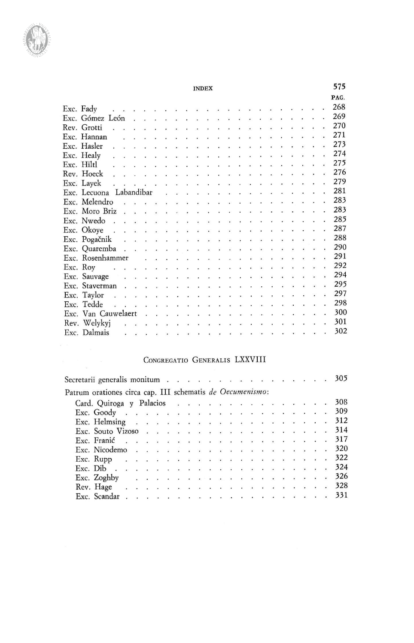

| Exc. Fady                                                        | 268 |
|------------------------------------------------------------------|-----|
|                                                                  | 269 |
| <b>THERMAN CALL AND RESIDENT</b><br>Rev. Grotti                  | 270 |
| Exc. Hannan                                                      | 271 |
| Exc. Hasler                                                      | 273 |
|                                                                  | 274 |
| $Exc.$ Hiltl                                                     | 275 |
| , , , , , , , , , , , , , , , , , , <del>, ,</del><br>Rev. Hoeck | 276 |
|                                                                  | 279 |
| Exc. Lecuona Labandibar                                          | 281 |
|                                                                  | 283 |
|                                                                  | 283 |
|                                                                  | 285 |
| Exc. Okoye                                                       | 287 |
|                                                                  | 288 |
| Exc. Quaremba                                                    | 290 |
| <b>.</b><br>Exc. Rosenhammer                                     | 291 |
|                                                                  | 292 |
| <b>Transaction Contract Excess</b><br>Exc. Sauvage               | 294 |
|                                                                  | 295 |
| Exc. Taylor                                                      | 297 |
| .<br>Exc. Tedde<br>Sales Co                                      | 298 |
| Exc. Van Cauwelaert                                              | 300 |
|                                                                  | 301 |
| .<br>Exc. Dalmais                                                | 302 |
|                                                                  |     |
|                                                                  |     |

## CONGREGATIO GENERALIS LXXVIII

| Secretarii generalis monitum                              |                                                                                           |  |  |  |  |  |  |  |  |  |  | 305 |
|-----------------------------------------------------------|-------------------------------------------------------------------------------------------|--|--|--|--|--|--|--|--|--|--|-----|
| Patrum orationes circa cap. III schematis de Oecumenismo: |                                                                                           |  |  |  |  |  |  |  |  |  |  |     |
|                                                           | Card. Quiroga y Palacios                                                                  |  |  |  |  |  |  |  |  |  |  | 308 |
|                                                           |                                                                                           |  |  |  |  |  |  |  |  |  |  |     |
|                                                           | Exc. Helmsing $\ldots$ $\ldots$ $\ldots$ $\ldots$ $\ldots$ $\ldots$ $\ldots$ $\ldots$ 312 |  |  |  |  |  |  |  |  |  |  |     |
|                                                           | Exc. Souto Vizoso 314                                                                     |  |  |  |  |  |  |  |  |  |  |     |
|                                                           |                                                                                           |  |  |  |  |  |  |  |  |  |  |     |
|                                                           | Exc. Nicodemo 320                                                                         |  |  |  |  |  |  |  |  |  |  |     |
|                                                           |                                                                                           |  |  |  |  |  |  |  |  |  |  |     |
|                                                           |                                                                                           |  |  |  |  |  |  |  |  |  |  |     |
|                                                           | Exc. Zoghby 326                                                                           |  |  |  |  |  |  |  |  |  |  |     |
|                                                           |                                                                                           |  |  |  |  |  |  |  |  |  |  |     |
|                                                           |                                                                                           |  |  |  |  |  |  |  |  |  |  |     |

INDEX 575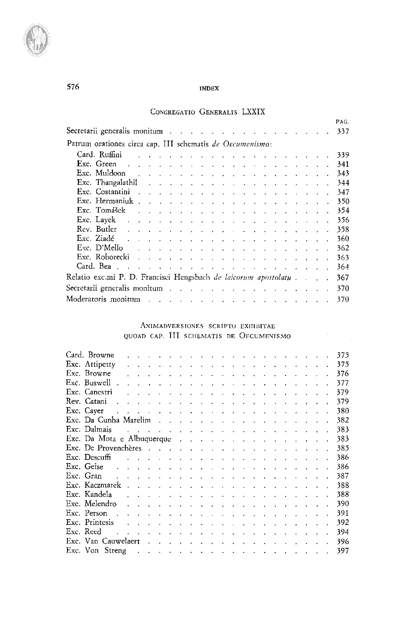## CONGREGATIO GENERALIS LXXIX

 $\mathcal{A}^{\mathcal{A}}$ 

 $\label{eq:2} \mathcal{L} = \mathcal{L} \left( \mathcal{L} \right) \left( \mathcal{L} \right)$ 

|                                                                                                                                                                                                                                                                                   |  |                                                                                                                 |  |  |  |  |  |  |  | PAG.  |
|-----------------------------------------------------------------------------------------------------------------------------------------------------------------------------------------------------------------------------------------------------------------------------------|--|-----------------------------------------------------------------------------------------------------------------|--|--|--|--|--|--|--|-------|
| Secretarii generalis monitum                                                                                                                                                                                                                                                      |  |                                                                                                                 |  |  |  |  |  |  |  | -337  |
| Patrum orationes circa cap. III schematis de Oecumenismo:                                                                                                                                                                                                                         |  |                                                                                                                 |  |  |  |  |  |  |  |       |
| Card. Ruffini                                                                                                                                                                                                                                                                     |  | and a series of the contract of the contract of the contract of the contract of the contract of the contract of |  |  |  |  |  |  |  | - 339 |
|                                                                                                                                                                                                                                                                                   |  |                                                                                                                 |  |  |  |  |  |  |  | 341   |
|                                                                                                                                                                                                                                                                                   |  |                                                                                                                 |  |  |  |  |  |  |  | 343   |
| Exc. Thangalathil $\qquad \qquad$                                                                                                                                                                                                                                                 |  |                                                                                                                 |  |  |  |  |  |  |  | 344   |
| Exc. Costantini research and the contract of the cost of the contract of the cost of the cost of the cost of the cost of the cost of the cost of the cost of the cost of the cost of the cost of the cost of the cost of the c                                                    |  |                                                                                                                 |  |  |  |  |  |  |  | 347   |
|                                                                                                                                                                                                                                                                                   |  |                                                                                                                 |  |  |  |  |  |  |  | 350   |
| Exc. Tomášek                                                                                                                                                                                                                                                                      |  | the contract of the contract of the contract of the contract of the contract of                                 |  |  |  |  |  |  |  | 354   |
|                                                                                                                                                                                                                                                                                   |  |                                                                                                                 |  |  |  |  |  |  |  | 356   |
| Rev. Butlet $x_1, x_2, x_3, x_4, x_5, x_6, x_7, x_8, x_9, x_1, x_2, x_3, x_4, x_7, x_8, x_9, x_1, x_2, x_3, x_4, x_6, x_7, x_8, x_9, x_1, x_2, x_3, x_4, x_6, x_7, x_8, x_9, x_1, x_2, x_3, x_4, x_6, x_7, x_8, x_9, x_1, x_2, x_3, x_4, x_6, x_7, x_8, x_9, x_1, x_2, x_3, x_4,$ |  |                                                                                                                 |  |  |  |  |  |  |  | 358   |
| Exc. Ziadé de la partie de la partie de la partie de la partie de la partie de la partie de la partie de la pa                                                                                                                                                                    |  |                                                                                                                 |  |  |  |  |  |  |  | 360   |
| Exc. D'Mello $\cdots$                                                                                                                                                                                                                                                             |  |                                                                                                                 |  |  |  |  |  |  |  | 362   |
| Exc. Roborecki and a summary contract to the contract of the contract of the contract of the contract of the contract of the contract of the contract of the contract of the contract of the contract of the contract of the c                                                    |  |                                                                                                                 |  |  |  |  |  |  |  | 363   |
|                                                                                                                                                                                                                                                                                   |  |                                                                                                                 |  |  |  |  |  |  |  | 364   |
| Relatio exc.mi P. D. Francisci Hengsbach <i>de laicorum apostolatu</i>                                                                                                                                                                                                            |  |                                                                                                                 |  |  |  |  |  |  |  | 367   |
| Secretarii generalis monitum                                                                                                                                                                                                                                                      |  |                                                                                                                 |  |  |  |  |  |  |  | 370   |
| Moderatoris monitum and a contract the contract of the contract of the contract of the contract of the contract of                                                                                                                                                                |  |                                                                                                                 |  |  |  |  |  |  |  | 370   |
|                                                                                                                                                                                                                                                                                   |  |                                                                                                                 |  |  |  |  |  |  |  |       |

#### ANIMADVERSIONES SCRIPTO EXHIBITAE QUOAD CAP. **ILL** SCHEMATIS DE OECUMENISMO

| Card. Browne                                                                                                   |                                                                                                               |  |  |  |  |  |  |  | $\mathbf{r} = \mathbf{r} - \mathbf{r} = \mathbf{r} - \mathbf{r} - \mathbf{r} = \mathbf{r} - \mathbf{r} - \mathbf{r} - \mathbf{r} - \mathbf{r} - \mathbf{r} - \mathbf{r} - \mathbf{r} - \mathbf{r} - \mathbf{r} - \mathbf{r} - \mathbf{r} - \mathbf{r} - \mathbf{r} - \mathbf{r} - \mathbf{r} - \mathbf{r} - \mathbf{r} - \mathbf{r} - \mathbf{r} - \mathbf{r} - \mathbf{r} - \mathbf{r} - \mathbf{r} - \mathbf{r} - \mathbf$ |  | 375 |
|----------------------------------------------------------------------------------------------------------------|---------------------------------------------------------------------------------------------------------------|--|--|--|--|--|--|--|------------------------------------------------------------------------------------------------------------------------------------------------------------------------------------------------------------------------------------------------------------------------------------------------------------------------------------------------------------------------------------------------------------------------------|--|-----|
| Exc. Attipetty                                                                                                 |                                                                                                               |  |  |  |  |  |  |  | states and a state of the state of the state of the state of the state of the state of the state of the state of the state of the state of the state of the state of the state of the state of the state of the state of the s                                                                                                                                                                                               |  | 375 |
| Exc. Browne                                                                                                    |                                                                                                               |  |  |  |  |  |  |  | $\mathbf{r} = \mathbf{r} \cdot \mathbf{r}$ , and the set of the set of the set of the set of the set of the set of the set of the set of the set of the set of the set of the set of the set of the set of the set of the set of the set of the                                                                                                                                                                              |  | 376 |
| Exc. Buswell.                                                                                                  |                                                                                                               |  |  |  |  |  |  |  | $\mathbf{r} = \mathbf{r} \cdot \mathbf{r}$ . The contract of the contract of the contract of the contract of the contract of the contract of the contract of the contract of the contract of the contract of the contract of the contract of the                                                                                                                                                                             |  | 377 |
| Exc. Cancstri                                                                                                  |                                                                                                               |  |  |  |  |  |  |  |                                                                                                                                                                                                                                                                                                                                                                                                                              |  | 379 |
| Rev Catani<br>الموارد والمتواطن والموارد والموارد والموارد والموارد والموارد والموارد والموارد والموارد        |                                                                                                               |  |  |  |  |  |  |  |                                                                                                                                                                                                                                                                                                                                                                                                                              |  | 379 |
| Exc. Cayer                                                                                                     |                                                                                                               |  |  |  |  |  |  |  | the contract of the contract of the contract of the contract of the contract of                                                                                                                                                                                                                                                                                                                                              |  | 380 |
| Exc. Da Cunha Marelim                                                                                          |                                                                                                               |  |  |  |  |  |  |  |                                                                                                                                                                                                                                                                                                                                                                                                                              |  | 382 |
| Exc. Dalmais                                                                                                   |                                                                                                               |  |  |  |  |  |  |  | المتواطن والمتواطن والمتواطن والمتواطن والمتواطن والمتواطن والمتواطن والمتواطن                                                                                                                                                                                                                                                                                                                                               |  | 383 |
| Exc. Da Mota e Albuquerque restaurant a construction of the Mota e Albuquerque                                 |                                                                                                               |  |  |  |  |  |  |  |                                                                                                                                                                                                                                                                                                                                                                                                                              |  | 383 |
| Exc. De Provenchères                                                                                           |                                                                                                               |  |  |  |  |  |  |  |                                                                                                                                                                                                                                                                                                                                                                                                                              |  | 385 |
| Exc. Descuffi                                                                                                  |                                                                                                               |  |  |  |  |  |  |  | and a series of the contract of the contract of the contract of the contract of                                                                                                                                                                                                                                                                                                                                              |  | 386 |
| Exc. Geise                                                                                                     |                                                                                                               |  |  |  |  |  |  |  | والمواطن والمواطن والمستحيل والمتناول والمتناول والمتناول والمتناول والمستحدث                                                                                                                                                                                                                                                                                                                                                |  | 386 |
| Exc. Gran                                                                                                      |                                                                                                               |  |  |  |  |  |  |  | المتواطن والمتعاطف والمتعارف والمتعارف والمتعاط والمتعاط المتعاط والمتعاط والمتعارف                                                                                                                                                                                                                                                                                                                                          |  | 387 |
| Exc. Kaczmarek.                                                                                                |                                                                                                               |  |  |  |  |  |  |  | the contract of the contract of the contract of the contract of the contract of                                                                                                                                                                                                                                                                                                                                              |  | 388 |
| Exc. Kandela                                                                                                   |                                                                                                               |  |  |  |  |  |  |  | المناصر والمناصر والمناصر والمناصر والمناصر والمناصر والمناصر والمناصر                                                                                                                                                                                                                                                                                                                                                       |  | 388 |
| Exc. Melendro                                                                                                  | a construction of the contract of the construction of the construction of the contract of the construction of |  |  |  |  |  |  |  | the company of the company of                                                                                                                                                                                                                                                                                                                                                                                                |  | 390 |
| Exc. Person<br>the contract of the contract of the contract of the contract of the contract of                 |                                                                                                               |  |  |  |  |  |  |  |                                                                                                                                                                                                                                                                                                                                                                                                                              |  | 391 |
| Exc. Printesis                                                                                                 |                                                                                                               |  |  |  |  |  |  |  | the contract of the contract of the contract of the contract of the contract of                                                                                                                                                                                                                                                                                                                                              |  | 392 |
| Exc. Reed                                                                                                      | and a series of the contract of the contract of the                                                           |  |  |  |  |  |  |  | and the contract of the con-                                                                                                                                                                                                                                                                                                                                                                                                 |  | 394 |
| Exc. Van Cauwelaert (Chambridge Contract Chambridge Cauwelaert (Chambridge Chambridge Chambridge Chambridge Ch |                                                                                                               |  |  |  |  |  |  |  |                                                                                                                                                                                                                                                                                                                                                                                                                              |  | 396 |
| Exc. Von Streng                                                                                                |                                                                                                               |  |  |  |  |  |  |  | الموارد والموارد والموارد والموارد والموارد والموارد والموارد والموارد                                                                                                                                                                                                                                                                                                                                                       |  | 397 |